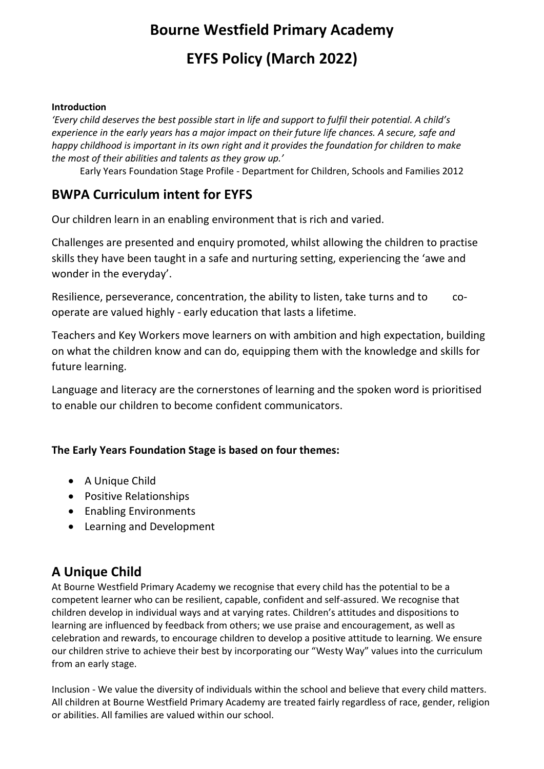# **Bourne Westfield Primary Academy**

# **EYFS Policy (March 2022)**

#### **Introduction**

*'Every child deserves the best possible start in life and support to fulfil their potential. A child's experience in the early years has a major impact on their future life chances. A secure, safe and happy childhood is important in its own right and it provides the foundation for children to make the most of their abilities and talents as they grow up.'* 

Early Years Foundation Stage Profile - Department for Children, Schools and Families 2012

### **BWPA Curriculum intent for EYFS**

Our children learn in an enabling environment that is rich and varied.

Challenges are presented and enquiry promoted, whilst allowing the children to practise skills they have been taught in a safe and nurturing setting, experiencing the 'awe and wonder in the everyday'.

Resilience, perseverance, concentration, the ability to listen, take turns and to cooperate are valued highly - early education that lasts a lifetime.

Teachers and Key Workers move learners on with ambition and high expectation, building on what the children know and can do, equipping them with the knowledge and skills for future learning.

Language and literacy are the cornerstones of learning and the spoken word is prioritised to enable our children to become confident communicators.

#### **The Early Years Foundation Stage is based on four themes:**

- A Unique Child
- Positive Relationships
- Enabling Environments
- Learning and Development

### **A Unique Child**

At Bourne Westfield Primary Academy we recognise that every child has the potential to be a competent learner who can be resilient, capable, confident and self-assured. We recognise that children develop in individual ways and at varying rates. Children's attitudes and dispositions to learning are influenced by feedback from others; we use praise and encouragement, as well as celebration and rewards, to encourage children to develop a positive attitude to learning. We ensure our children strive to achieve their best by incorporating our "Westy Way" values into the curriculum from an early stage.

Inclusion - We value the diversity of individuals within the school and believe that every child matters. All children at Bourne Westfield Primary Academy are treated fairly regardless of race, gender, religion or abilities. All families are valued within our school.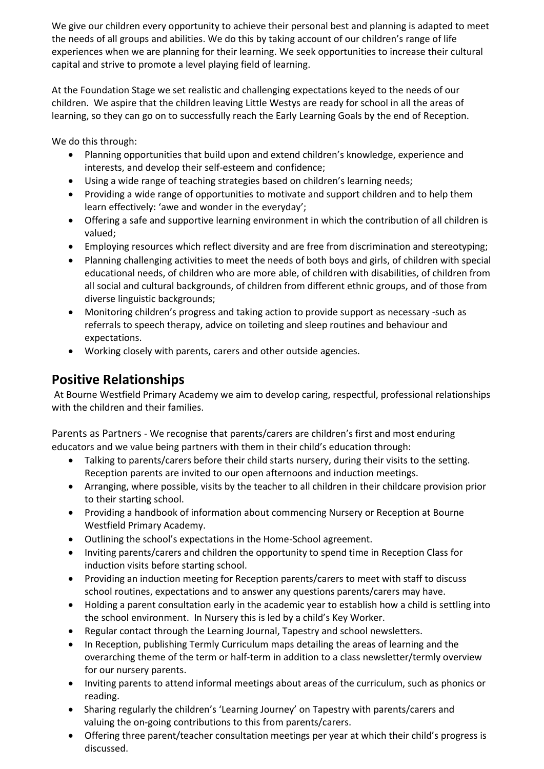We give our children every opportunity to achieve their personal best and planning is adapted to meet the needs of all groups and abilities. We do this by taking account of our children's range of life experiences when we are planning for their learning. We seek opportunities to increase their cultural capital and strive to promote a level playing field of learning.

At the Foundation Stage we set realistic and challenging expectations keyed to the needs of our children. We aspire that the children leaving Little Westys are ready for school in all the areas of learning, so they can go on to successfully reach the Early Learning Goals by the end of Reception.

We do this through:

- Planning opportunities that build upon and extend children's knowledge, experience and interests, and develop their self-esteem and confidence;
- Using a wide range of teaching strategies based on children's learning needs;
- Providing a wide range of opportunities to motivate and support children and to help them learn effectively: 'awe and wonder in the everyday';
- Offering a safe and supportive learning environment in which the contribution of all children is valued;
- Employing resources which reflect diversity and are free from discrimination and stereotyping;
- Planning challenging activities to meet the needs of both boys and girls, of children with special educational needs, of children who are more able, of children with disabilities, of children from all social and cultural backgrounds, of children from different ethnic groups, and of those from diverse linguistic backgrounds;
- Monitoring children's progress and taking action to provide support as necessary -such as referrals to speech therapy, advice on toileting and sleep routines and behaviour and expectations.
- Working closely with parents, carers and other outside agencies.

# **Positive Relationships**

At Bourne Westfield Primary Academy we aim to develop caring, respectful, professional relationships with the children and their families.

Parents as Partners - We recognise that parents/carers are children's first and most enduring educators and we value being partners with them in their child's education through:

- Talking to parents/carers before their child starts nursery, during their visits to the setting. Reception parents are invited to our open afternoons and induction meetings.
- Arranging, where possible, visits by the teacher to all children in their childcare provision prior to their starting school.
- Providing a handbook of information about commencing Nursery or Reception at Bourne Westfield Primary Academy.
- Outlining the school's expectations in the Home-School agreement.
- Inviting parents/carers and children the opportunity to spend time in Reception Class for induction visits before starting school.
- Providing an induction meeting for Reception parents/carers to meet with staff to discuss school routines, expectations and to answer any questions parents/carers may have.
- Holding a parent consultation early in the academic year to establish how a child is settling into the school environment. In Nursery this is led by a child's Key Worker.
- Regular contact through the Learning Journal, Tapestry and school newsletters.
- In Reception, publishing Termly Curriculum maps detailing the areas of learning and the overarching theme of the term or half-term in addition to a class newsletter/termly overview for our nursery parents.
- Inviting parents to attend informal meetings about areas of the curriculum, such as phonics or reading.
- Sharing regularly the children's 'Learning Journey' on Tapestry with parents/carers and valuing the on-going contributions to this from parents/carers.
- Offering three parent/teacher consultation meetings per year at which their child's progress is discussed.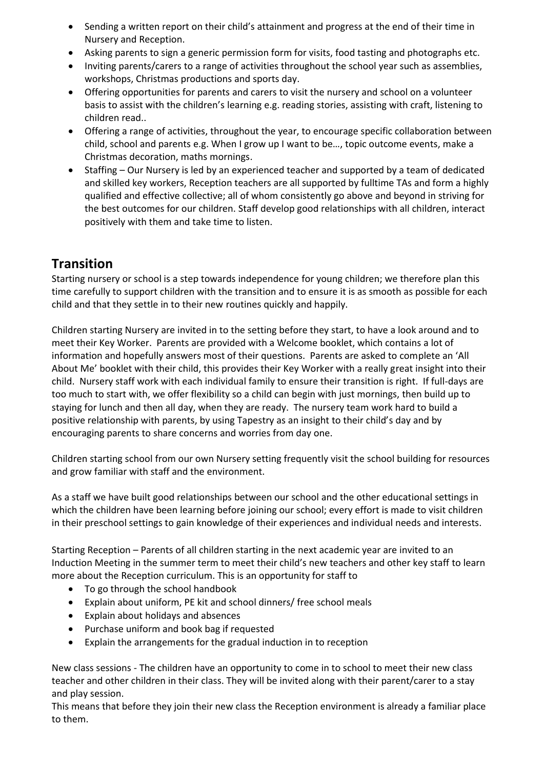- Sending a written report on their child's attainment and progress at the end of their time in Nursery and Reception.
- Asking parents to sign a generic permission form for visits, food tasting and photographs etc.
- Inviting parents/carers to a range of activities throughout the school year such as assemblies, workshops, Christmas productions and sports day.
- Offering opportunities for parents and carers to visit the nursery and school on a volunteer basis to assist with the children's learning e.g. reading stories, assisting with craft, listening to children read..
- Offering a range of activities, throughout the year, to encourage specific collaboration between child, school and parents e.g. When I grow up I want to be…, topic outcome events, make a Christmas decoration, maths mornings.
- Staffing Our Nursery is led by an experienced teacher and supported by a team of dedicated and skilled key workers, Reception teachers are all supported by fulltime TAs and form a highly qualified and effective collective; all of whom consistently go above and beyond in striving for the best outcomes for our children. Staff develop good relationships with all children, interact positively with them and take time to listen.

## **Transition**

Starting nursery or school is a step towards independence for young children; we therefore plan this time carefully to support children with the transition and to ensure it is as smooth as possible for each child and that they settle in to their new routines quickly and happily.

Children starting Nursery are invited in to the setting before they start, to have a look around and to meet their Key Worker. Parents are provided with a Welcome booklet, which contains a lot of information and hopefully answers most of their questions. Parents are asked to complete an 'All About Me' booklet with their child, this provides their Key Worker with a really great insight into their child. Nursery staff work with each individual family to ensure their transition is right. If full-days are too much to start with, we offer flexibility so a child can begin with just mornings, then build up to staying for lunch and then all day, when they are ready. The nursery team work hard to build a positive relationship with parents, by using Tapestry as an insight to their child's day and by encouraging parents to share concerns and worries from day one.

Children starting school from our own Nursery setting frequently visit the school building for resources and grow familiar with staff and the environment.

As a staff we have built good relationships between our school and the other educational settings in which the children have been learning before joining our school; every effort is made to visit children in their preschool settings to gain knowledge of their experiences and individual needs and interests.

Starting Reception – Parents of all children starting in the next academic year are invited to an Induction Meeting in the summer term to meet their child's new teachers and other key staff to learn more about the Reception curriculum. This is an opportunity for staff to

- To go through the school handbook
- Explain about uniform, PE kit and school dinners/ free school meals
- Explain about holidays and absences
- Purchase uniform and book bag if requested
- Explain the arrangements for the gradual induction in to reception

New class sessions - The children have an opportunity to come in to school to meet their new class teacher and other children in their class. They will be invited along with their parent/carer to a stay and play session.

This means that before they join their new class the Reception environment is already a familiar place to them.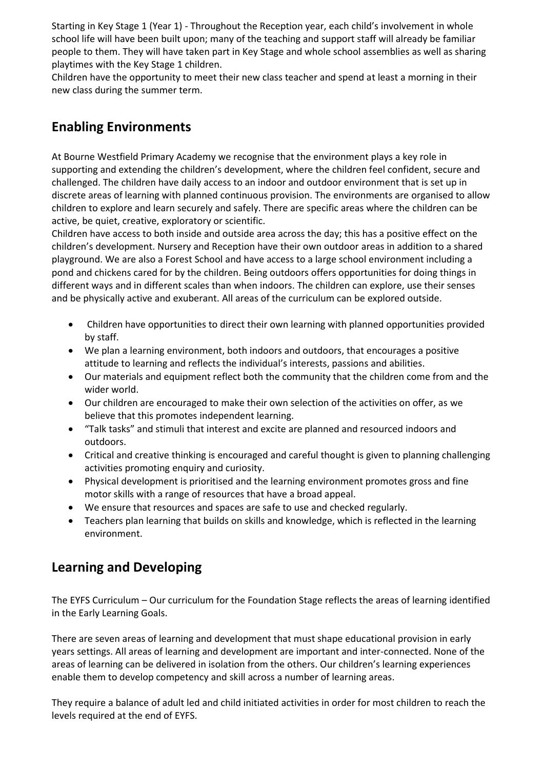Starting in Key Stage 1 (Year 1) - Throughout the Reception year, each child's involvement in whole school life will have been built upon; many of the teaching and support staff will already be familiar people to them. They will have taken part in Key Stage and whole school assemblies as well as sharing playtimes with the Key Stage 1 children.

Children have the opportunity to meet their new class teacher and spend at least a morning in their new class during the summer term.

### **Enabling Environments**

At Bourne Westfield Primary Academy we recognise that the environment plays a key role in supporting and extending the children's development, where the children feel confident, secure and challenged. The children have daily access to an indoor and outdoor environment that is set up in discrete areas of learning with planned continuous provision. The environments are organised to allow children to explore and learn securely and safely. There are specific areas where the children can be active, be quiet, creative, exploratory or scientific.

Children have access to both inside and outside area across the day; this has a positive effect on the children's development. Nursery and Reception have their own outdoor areas in addition to a shared playground. We are also a Forest School and have access to a large school environment including a pond and chickens cared for by the children. Being outdoors offers opportunities for doing things in different ways and in different scales than when indoors. The children can explore, use their senses and be physically active and exuberant. All areas of the curriculum can be explored outside.

- Children have opportunities to direct their own learning with planned opportunities provided by staff.
- We plan a learning environment, both indoors and outdoors, that encourages a positive attitude to learning and reflects the individual's interests, passions and abilities.
- Our materials and equipment reflect both the community that the children come from and the wider world.
- Our children are encouraged to make their own selection of the activities on offer, as we believe that this promotes independent learning.
- "Talk tasks" and stimuli that interest and excite are planned and resourced indoors and outdoors.
- Critical and creative thinking is encouraged and careful thought is given to planning challenging activities promoting enquiry and curiosity.
- Physical development is prioritised and the learning environment promotes gross and fine motor skills with a range of resources that have a broad appeal.
- We ensure that resources and spaces are safe to use and checked regularly.
- Teachers plan learning that builds on skills and knowledge, which is reflected in the learning environment.

### **Learning and Developing**

The EYFS Curriculum – Our curriculum for the Foundation Stage reflects the areas of learning identified in the Early Learning Goals.

There are seven areas of learning and development that must shape educational provision in early years settings. All areas of learning and development are important and inter-connected. None of the areas of learning can be delivered in isolation from the others. Our children's learning experiences enable them to develop competency and skill across a number of learning areas.

They require a balance of adult led and child initiated activities in order for most children to reach the levels required at the end of EYFS.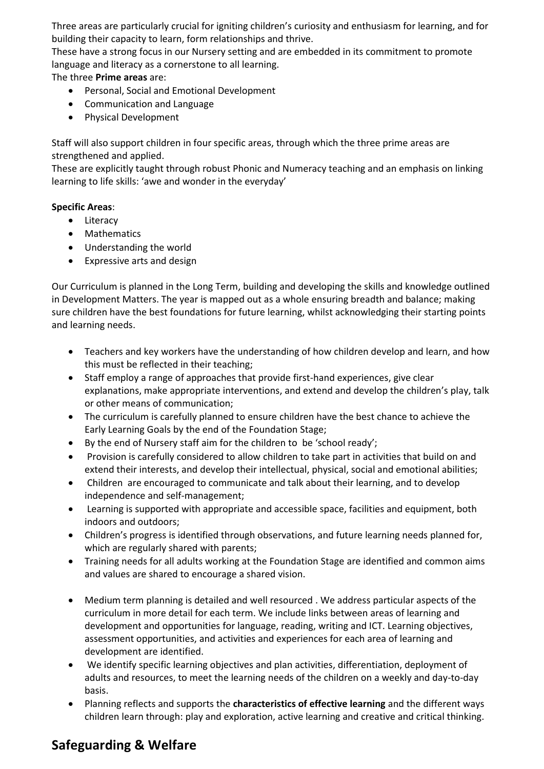Three areas are particularly crucial for igniting children's curiosity and enthusiasm for learning, and for building their capacity to learn, form relationships and thrive.

These have a strong focus in our Nursery setting and are embedded in its commitment to promote language and literacy as a cornerstone to all learning.

The three **Prime areas** are:

- Personal, Social and Emotional Development
- Communication and Language
- Physical Development

Staff will also support children in four specific areas, through which the three prime areas are strengthened and applied.

These are explicitly taught through robust Phonic and Numeracy teaching and an emphasis on linking learning to life skills: 'awe and wonder in the everyday'

#### **Specific Areas**:

- Literacy
- Mathematics
- Understanding the world
- Expressive arts and design

Our Curriculum is planned in the Long Term, building and developing the skills and knowledge outlined in Development Matters. The year is mapped out as a whole ensuring breadth and balance; making sure children have the best foundations for future learning, whilst acknowledging their starting points and learning needs.

- Teachers and key workers have the understanding of how children develop and learn, and how this must be reflected in their teaching;
- Staff employ a range of approaches that provide first-hand experiences, give clear explanations, make appropriate interventions, and extend and develop the children's play, talk or other means of communication;
- The curriculum is carefully planned to ensure children have the best chance to achieve the Early Learning Goals by the end of the Foundation Stage;
- By the end of Nursery staff aim for the children to be 'school ready';
- Provision is carefully considered to allow children to take part in activities that build on and extend their interests, and develop their intellectual, physical, social and emotional abilities;
- Children are encouraged to communicate and talk about their learning, and to develop independence and self-management;
- Learning is supported with appropriate and accessible space, facilities and equipment, both indoors and outdoors;
- Children's progress is identified through observations, and future learning needs planned for, which are regularly shared with parents;
- Training needs for all adults working at the Foundation Stage are identified and common aims and values are shared to encourage a shared vision.
- Medium term planning is detailed and well resourced . We address particular aspects of the curriculum in more detail for each term. We include links between areas of learning and development and opportunities for language, reading, writing and ICT. Learning objectives, assessment opportunities, and activities and experiences for each area of learning and development are identified.
- We identify specific learning objectives and plan activities, differentiation, deployment of adults and resources, to meet the learning needs of the children on a weekly and day-to-day basis.
- Planning reflects and supports the **characteristics of effective learning** and the different ways children learn through: play and exploration, active learning and creative and critical thinking.

## **Safeguarding & Welfare**